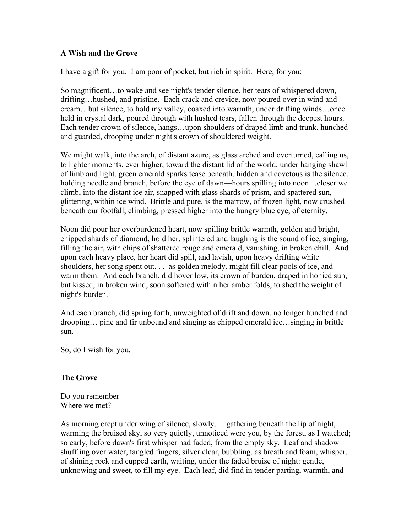## **A Wish and the Grove**

I have a gift for you. I am poor of pocket, but rich in spirit. Here, for you:

So magnificent…to wake and see night's tender silence, her tears of whispered down, drifting…hushed, and pristine. Each crack and crevice, now poured over in wind and cream…but silence, to hold my valley, coaxed into warmth, under drifting winds…once held in crystal dark, poured through with hushed tears, fallen through the deepest hours. Each tender crown of silence, hangs…upon shoulders of draped limb and trunk, hunched and guarded, drooping under night's crown of shouldered weight.

We might walk, into the arch, of distant azure, as glass arched and overturned, calling us, to lighter moments, ever higher, toward the distant lid of the world, under hanging shawl of limb and light, green emerald sparks tease beneath, hidden and covetous is the silence, holding needle and branch, before the eye of dawn—hours spilling into noon...closer we climb, into the distant ice air, snapped with glass shards of prism, and spattered sun, glittering, within ice wind. Brittle and pure, is the marrow, of frozen light, now crushed beneath our footfall, climbing, pressed higher into the hungry blue eye, of eternity.

Noon did pour her overburdened heart, now spilling brittle warmth, golden and bright, chipped shards of diamond, hold her, splintered and laughing is the sound of ice, singing, filling the air, with chips of shattered rouge and emerald, vanishing, in broken chill. And upon each heavy place, her heart did spill, and lavish, upon heavy drifting white shoulders, her song spent out. . . as golden melody, might fill clear pools of ice, and warm them. And each branch, did hover low, its crown of burden, draped in honied sun, but kissed, in broken wind, soon softened within her amber folds, to shed the weight of night's burden.

And each branch, did spring forth, unweighted of drift and down, no longer hunched and drooping… pine and fir unbound and singing as chipped emerald ice…singing in brittle sun.

So, do I wish for you.

## **The Grove**

Do you remember Where we met?

As morning crept under wing of silence, slowly. . . gathering beneath the lip of night, warming the bruised sky, so very quietly, unnoticed were you, by the forest, as I watched; so early, before dawn's first whisper had faded, from the empty sky. Leaf and shadow shuffling over water, tangled fingers, silver clear, bubbling, as breath and foam, whisper, of shining rock and cupped earth, waiting, under the faded bruise of night: gentle, unknowing and sweet, to fill my eye. Each leaf, did find in tender parting, warmth, and